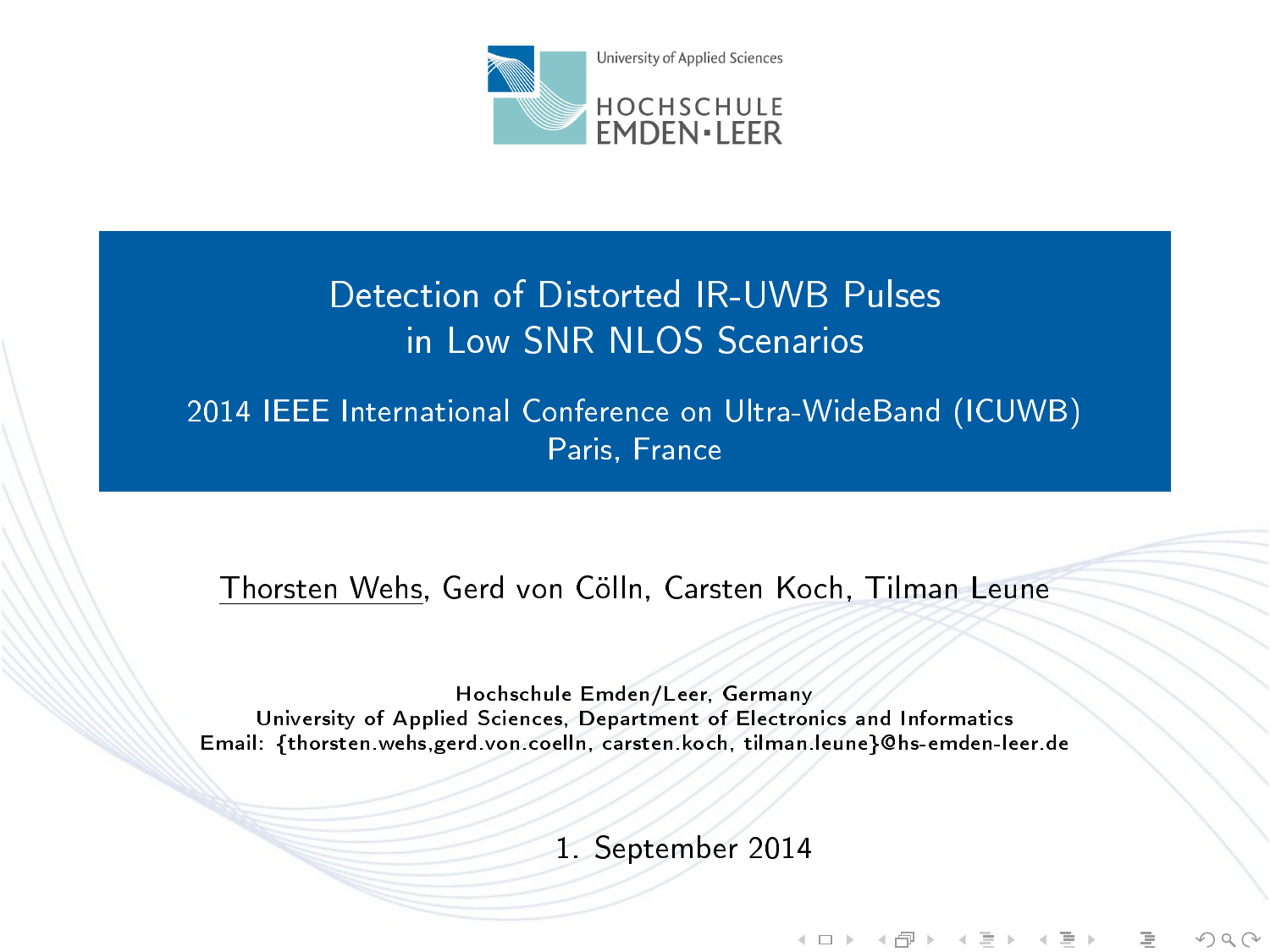

# Detection of Distorted IR-UWB Pulses in Low SNR NLOS Scenarios

2014 IEEE International Conference on Ultra-WideBand (ICUWB) Paris, France

Thorsten Wehs, Gerd von Cölln, Carsten Koch, Tilman Leune

<span id="page-0-0"></span>Hochschule Emden/Leer, Germany University of Applied Sciences, Department of Electronics and Informatics Email: {thorsten.wehs,gerd.von.coelln, carsten.koch, tilman.leune}@hs-emden-leer.de

1. September 2014

イロト イ母 ト イヨト イヨト

 $OQ$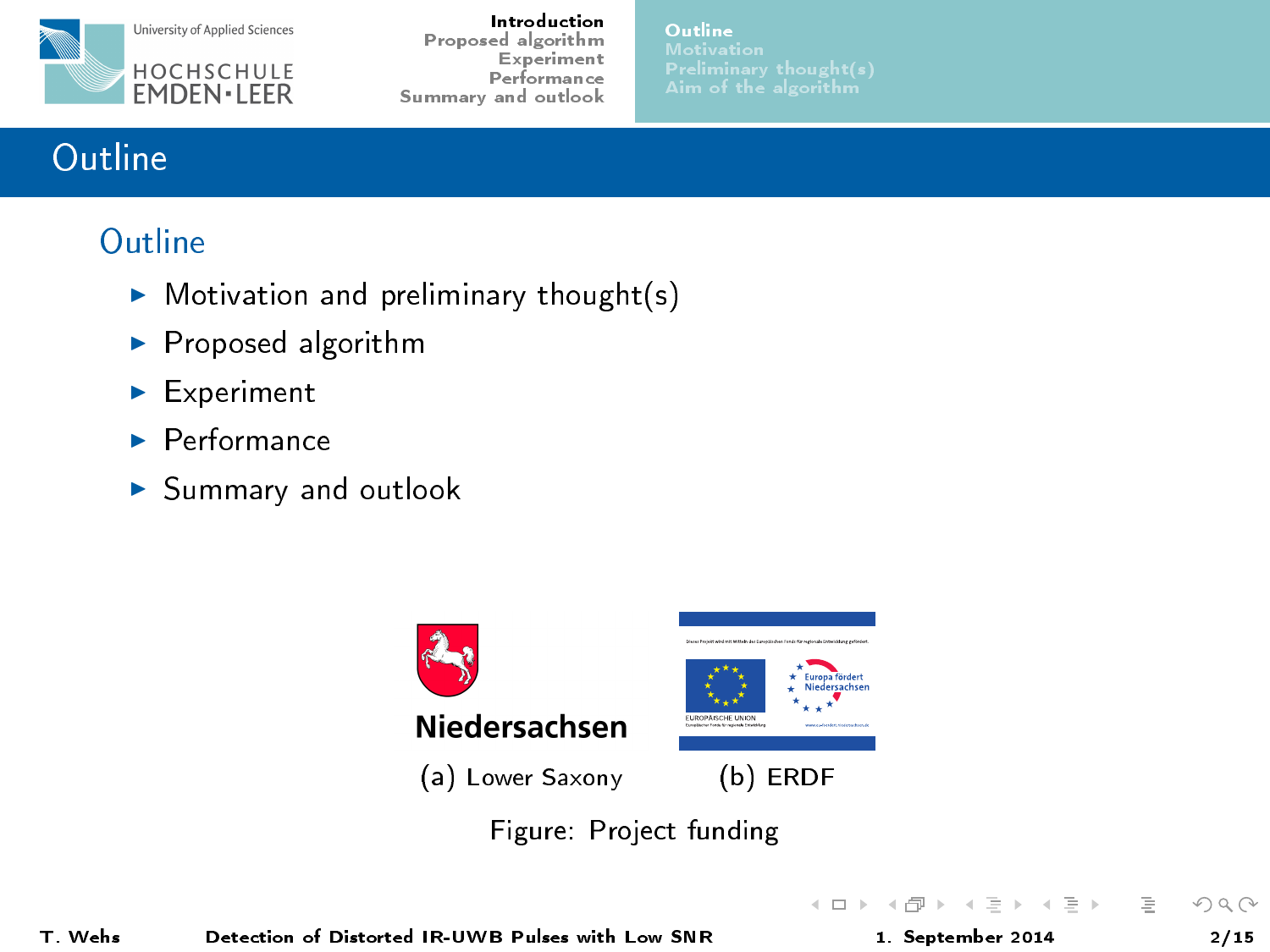

[Outline](#page-1-0)

# **Outline**

# **Outline**

- $\triangleright$  Motivation and preliminary thought(s)
- $\blacktriangleright$  Proposed algorithm
- $\blacktriangleright$  Experiment
- $\blacktriangleright$  Performance
- $\blacktriangleright$  Summary and outlook



Figure: Project funding

<span id="page-1-0"></span> $\equiv$   $\rightarrow$ Ξ

 $\leftarrow$   $\Box$   $\rightarrow$ 

 $\leftarrow$   $\overline{m}$   $\rightarrow$  $\rightarrow$   $\pm$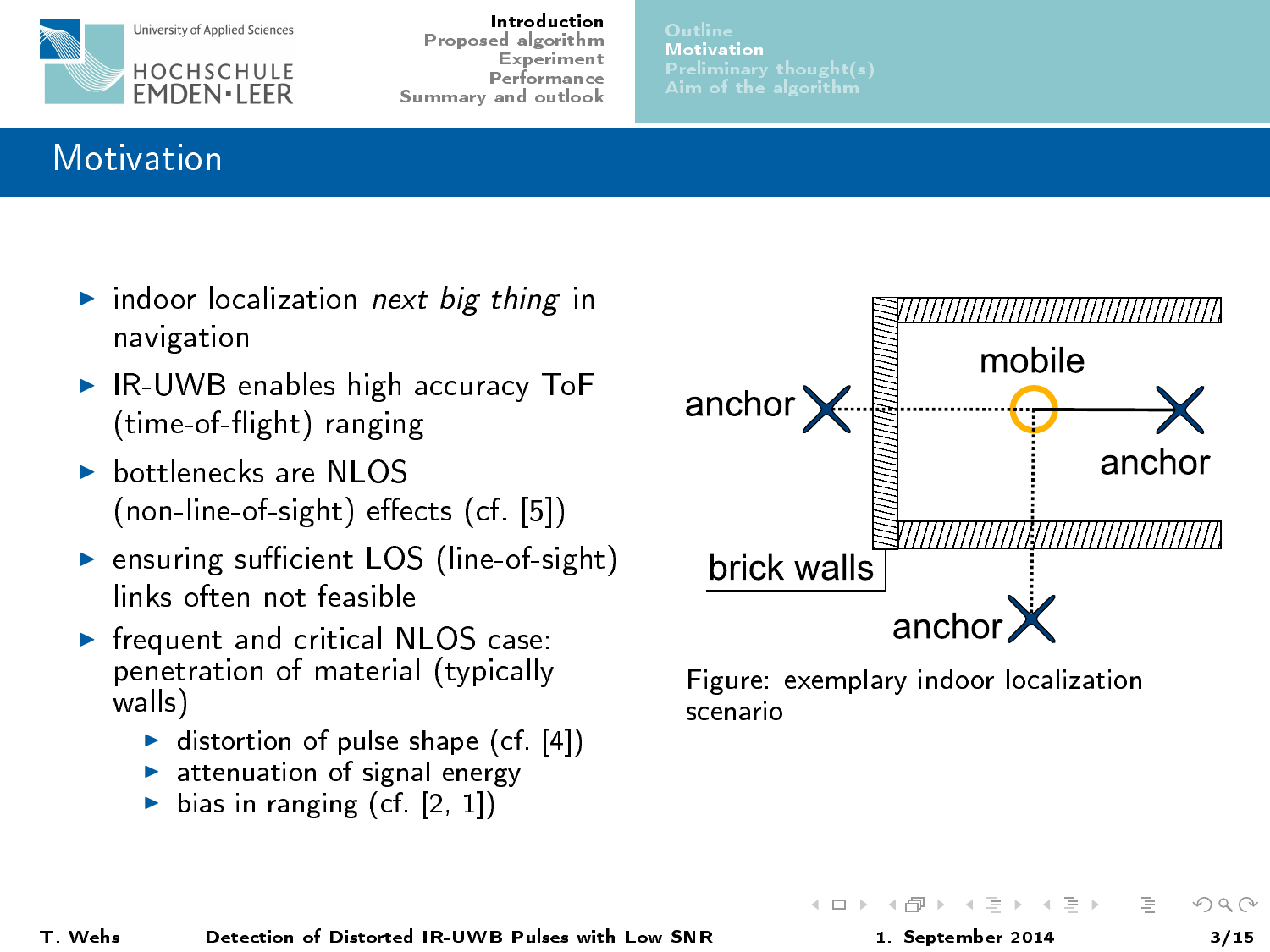

[Motivation](#page-2-0)

# **Motivation**

- indoor localization next big thing in navigation
- $\triangleright$  IR-UWB enables high accuracy ToF (time-of-flight) ranging
- $\triangleright$  bottlenecks are NLOS  $($ non-line-of-sight) effects  $(cf [5])$  $(cf [5])$  $(cf [5])$
- $\triangleright$  ensuring sufficient LOS (line-of-sight) links often not feasible
- $\blacktriangleright$  frequent and critical NLOS case: penetration of material (typically walls)
	- $\blacktriangleright$  distortion of pulse shape (cf. [\[4\]](#page-13-1))
	- attenuation of signal energy
	- ightharpoonup bias in ranging (cf.  $[2, 1]$  $[2, 1]$ )



<span id="page-2-0"></span>Figure: exemplary indoor localization scenario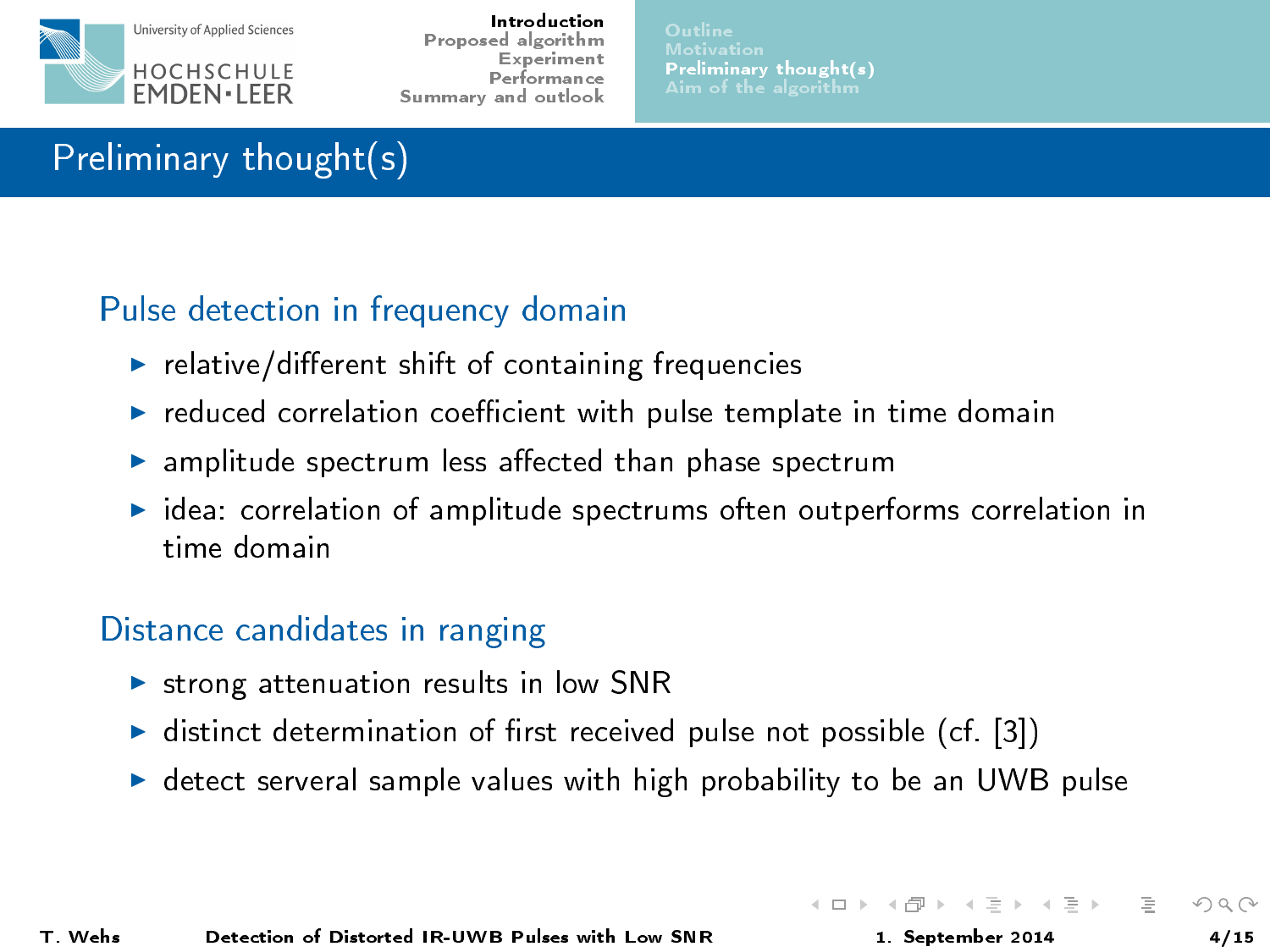

# Preliminary thought(s)

#### Pulse detection in frequency domain

- $\blacktriangleright$  relative/different shift of containing frequencies
- $\triangleright$  reduced correlation coefficient with pulse template in time domain
- $\blacktriangleright$  amplitude spectrum less affected than phase spectrum
- $\triangleright$  idea: correlation of amplitude spectrums often outperforms correlation in time domain

#### Distance candidates in ranging

- $\triangleright$  strong attenuation results in low SNR
- $\triangleright$  distinct determination of first received pulse not possible (cf. [\[3\]](#page-13-4))
- $\triangleright$  detect serveral sample values with high probability to be an UWB pulse

<span id="page-3-0"></span> $\rightarrow \equiv +$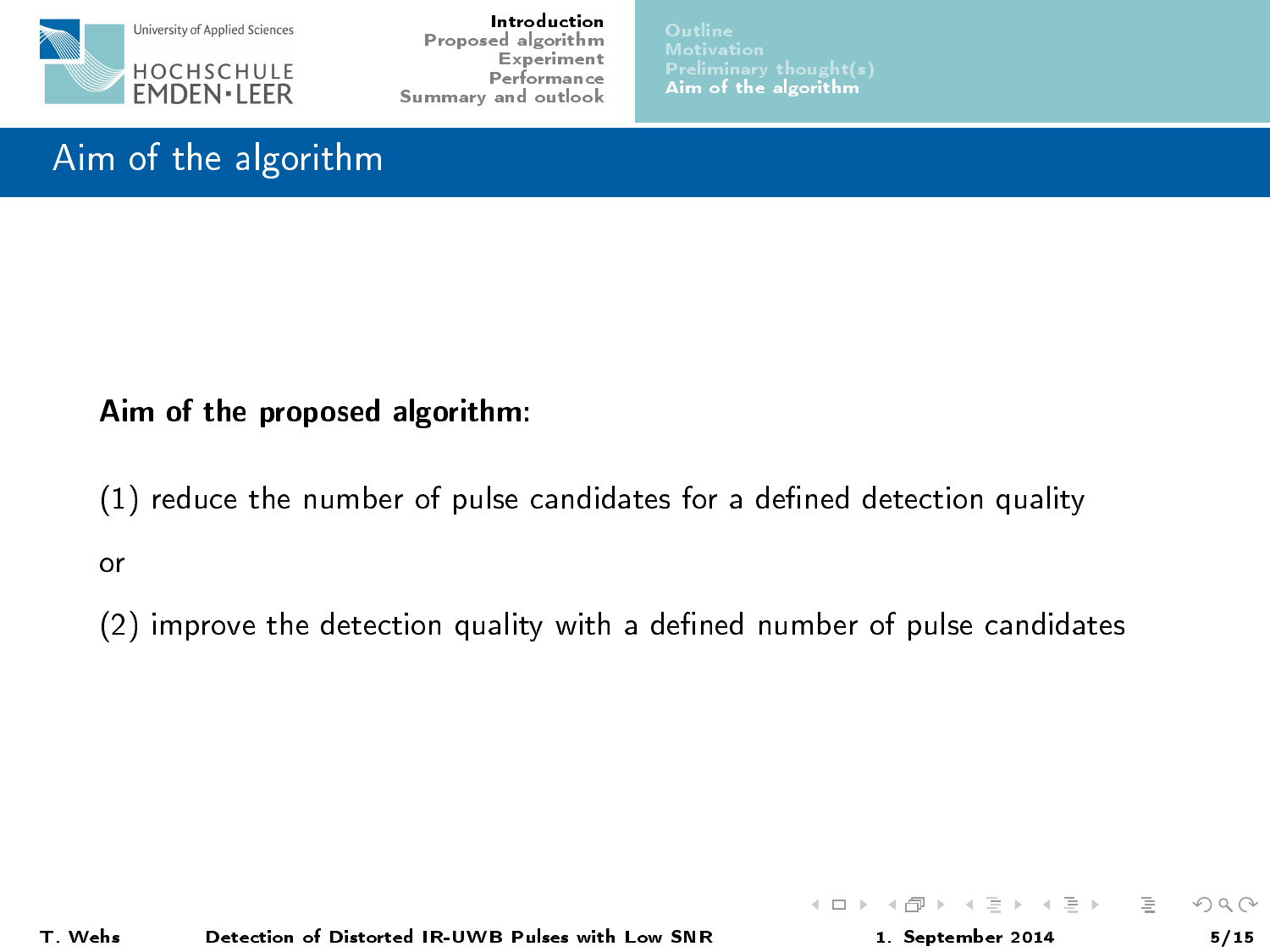

[Aim of the algorithm](#page-4-0)

イロト イ押 トイヨ トイヨト

 $\equiv$ 

<span id="page-4-0"></span> $\Omega$ 

# Aim of the algorithm

#### Aim of the proposed algorithm:

(1) reduce the number of pulse candidates for a defined detection quality or

 $(2)$  improve the detection quality with a defined number of pulse candidates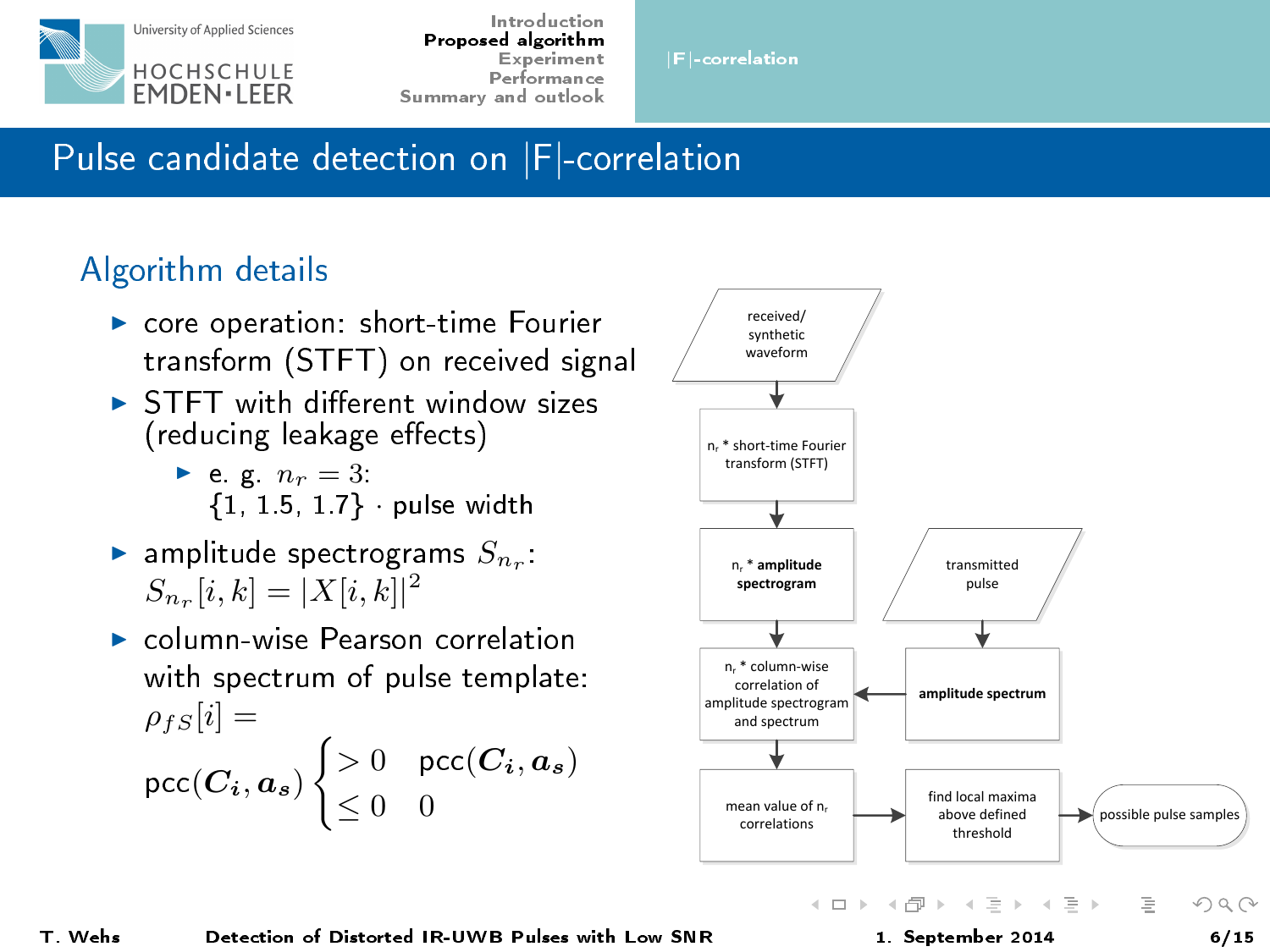

|F|[-correlation](#page-5-0)

# Pulse candidate detection on |F|-correlation

## Algorithm details

- ▶ core operation: short-time Fourier transform (STFT) on received signal
- $\triangleright$  STFT with different window sizes (reducing leakage effects)
	- $\blacktriangleright$  e.g.  $n_r = 3$ : {1, 1.5, 1.7} · pulse width
- $\blacktriangleright$  amplitude spectrograms  $S_{n_r}$ :  $S_{n_r}[i, k] = |X[i, k]|^2$
- $\triangleright$  column-wise Pearson correlation with spectrum of pulse template:  $\rho_{fS}[i] =$ рсс $(\bm{C_i}, \bm{a_s})$  $\int > 0$  pcc $(C_i, a_s)$  $\leq 0$  0

<span id="page-5-0"></span>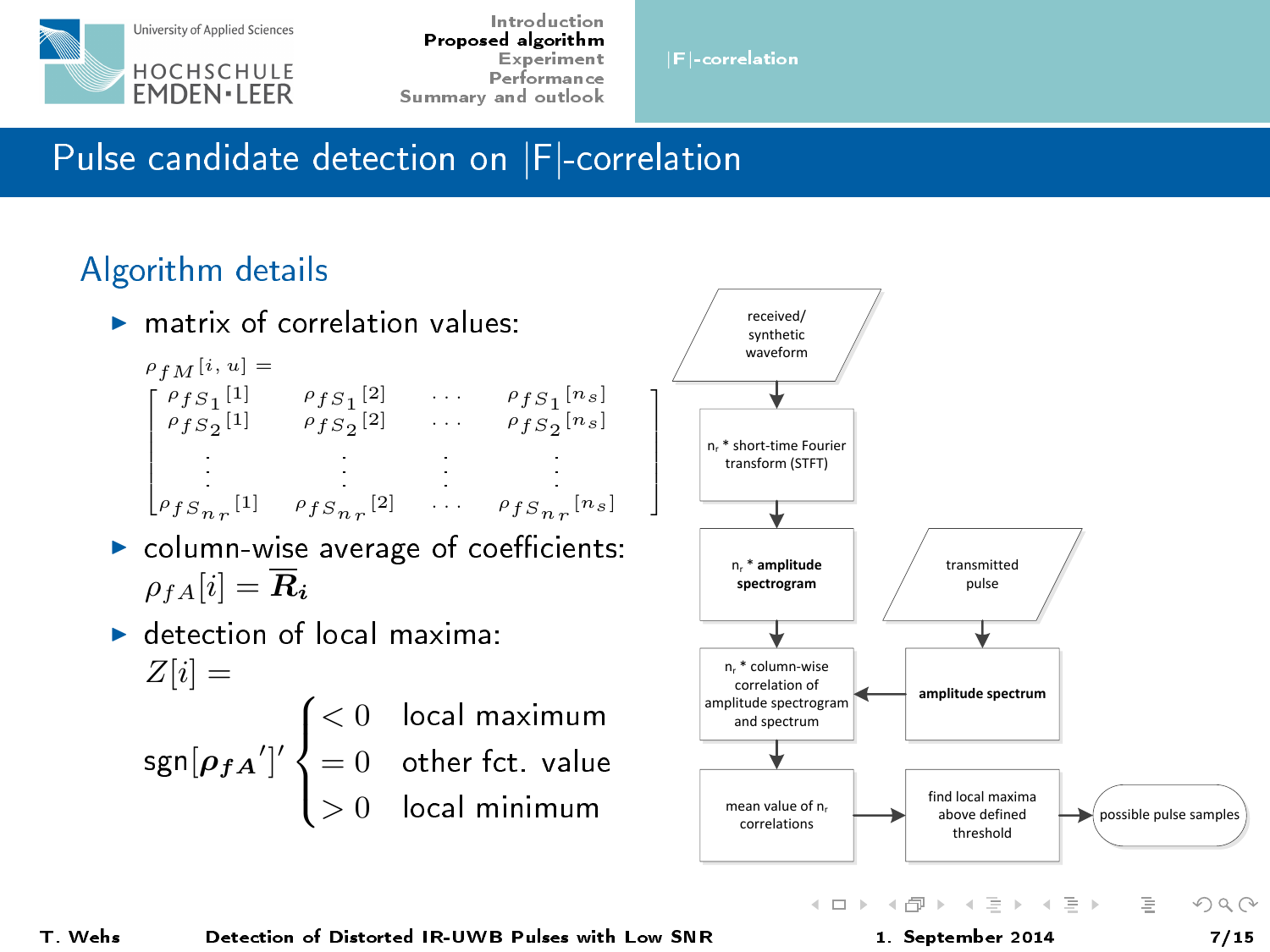

|F|[-correlation](#page-5-0)

ı  $\mathbf{I}$  $\mathbf{I}$  $\mathbf{I}$  $\mathbf{I}$  $\mathbf{I}$  $\mathbf{I}$  $\mathsf{I}$ 

Pulse candidate detection on |F|-correlation

### Algorithm details

 $\triangleright$  matrix of correlation values:

$$
\begin{array}{ccc} \rho_{fM}[i,u] = & & \\ \rho_{fS1}[1] & \rho_{fS1}[2] & \cdots & \rho_{fS1}[n_s] \\ \rho_{fS2}[1] & \rho_{fS2}[2] & \cdots & \rho_{fS2}[n_s] \\ & & & \\ \rho_{fS_{nr}}[1] & \rho_{fS_{nr}}[2] & \cdots & \rho_{fS_{nr}}[n_s] \end{array}
$$

- $\blacktriangleright$  column-wise average of coefficients:  $\rho_{fA}[i] = \overline{R}_i$
- $\blacktriangleright$  detection of local maxima:  $Z[i] =$

 $\mathsf{sgn}[\rho_{fA}']'$  $\sqrt{ }$  $\int$  $\mathbf{I}$  $< 0$  local maximum  $= 0$  other fct. value  $> 0$  local minimum

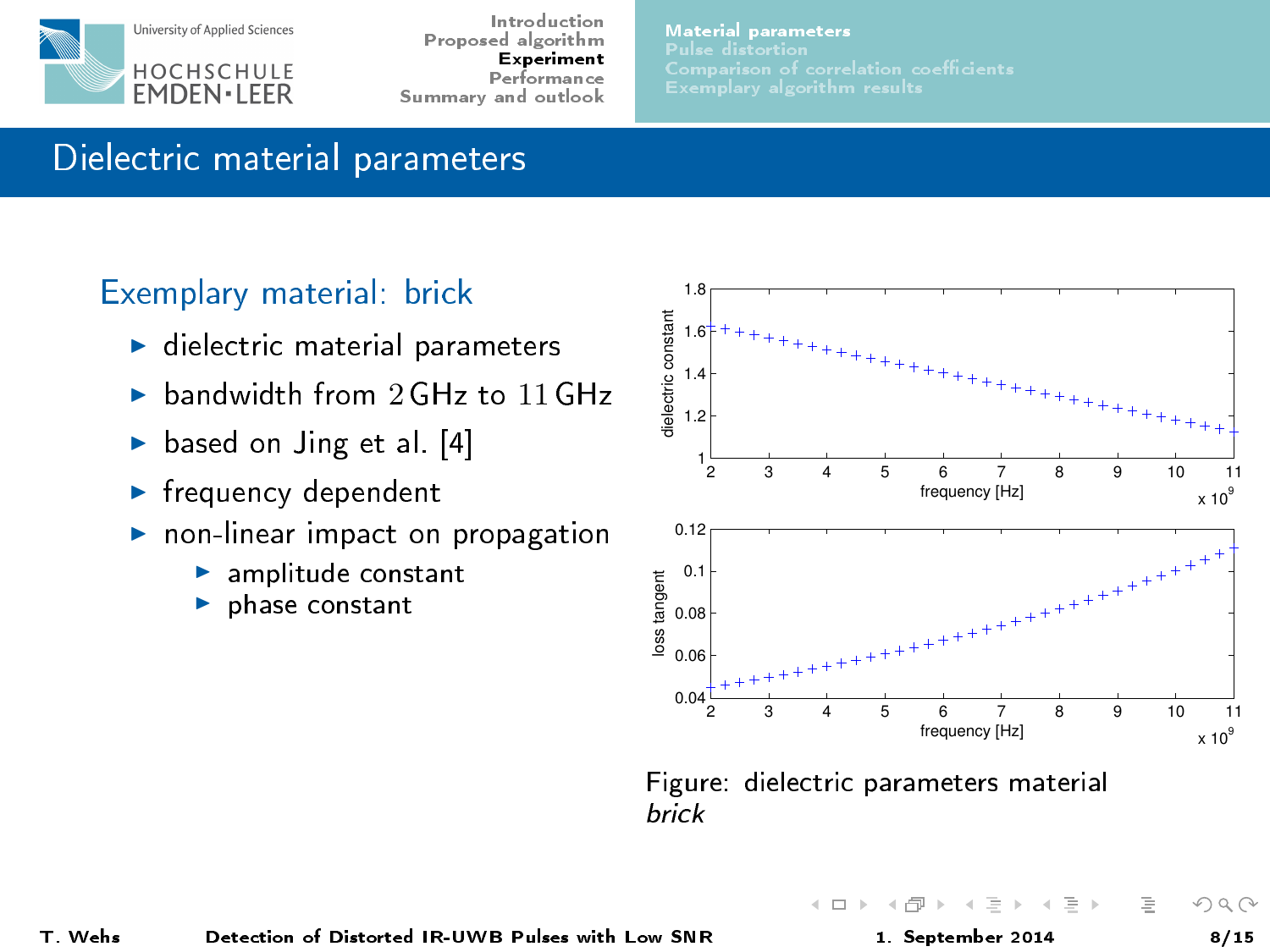

[Material parameters](#page-7-0)

# Dielectric material parameters

#### Exemplary material: brick

- $\blacktriangleright$  dielectric material parameters
- $\triangleright$  bandwidth from 2 GHz to 11 GHz
- $\triangleright$  based on Jing et al. [\[4\]](#page-13-1)
- $\blacktriangleright$  frequency dependent
- $\blacktriangleright$  non-linear impact on propagation
	- $\blacktriangleright$  amplitude constant
	- $\blacktriangleright$  phase constant



Figure: dielectric parameters material brick

<span id="page-7-0"></span> $OQ$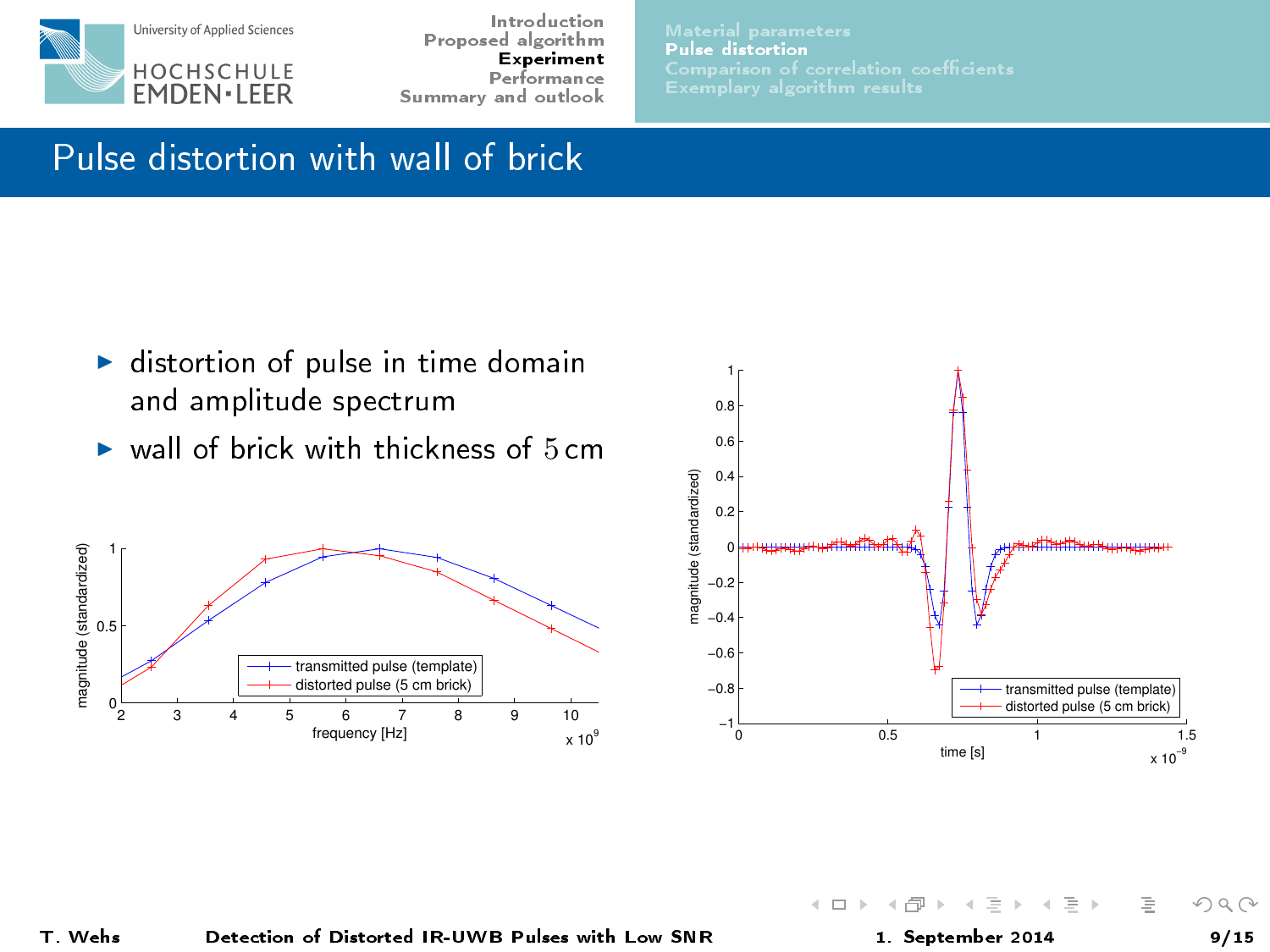

[Pulse distortion](#page-8-0)

# Pulse distortion with wall of brick

- $\blacktriangleright$  distortion of pulse in time domain and amplitude spectrum
- $\triangleright$  wall of brick with thickness of  $5 \text{ cm}$





 $\leftarrow$   $\Box$   $\rightarrow$ 

<span id="page-8-0"></span> $OQ$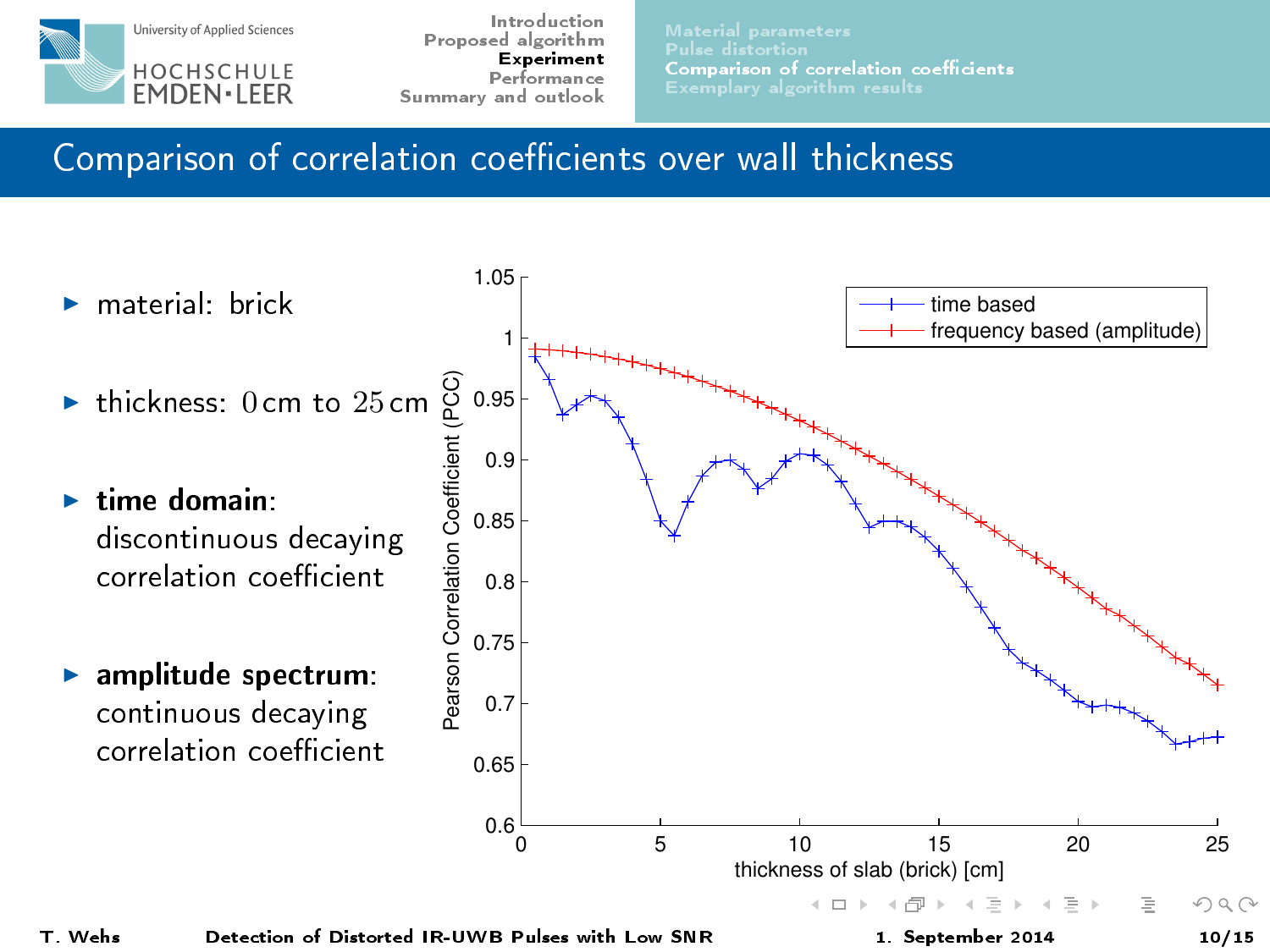

<span id="page-9-0"></span>

Comparison of correlation coefficients over wall thickness

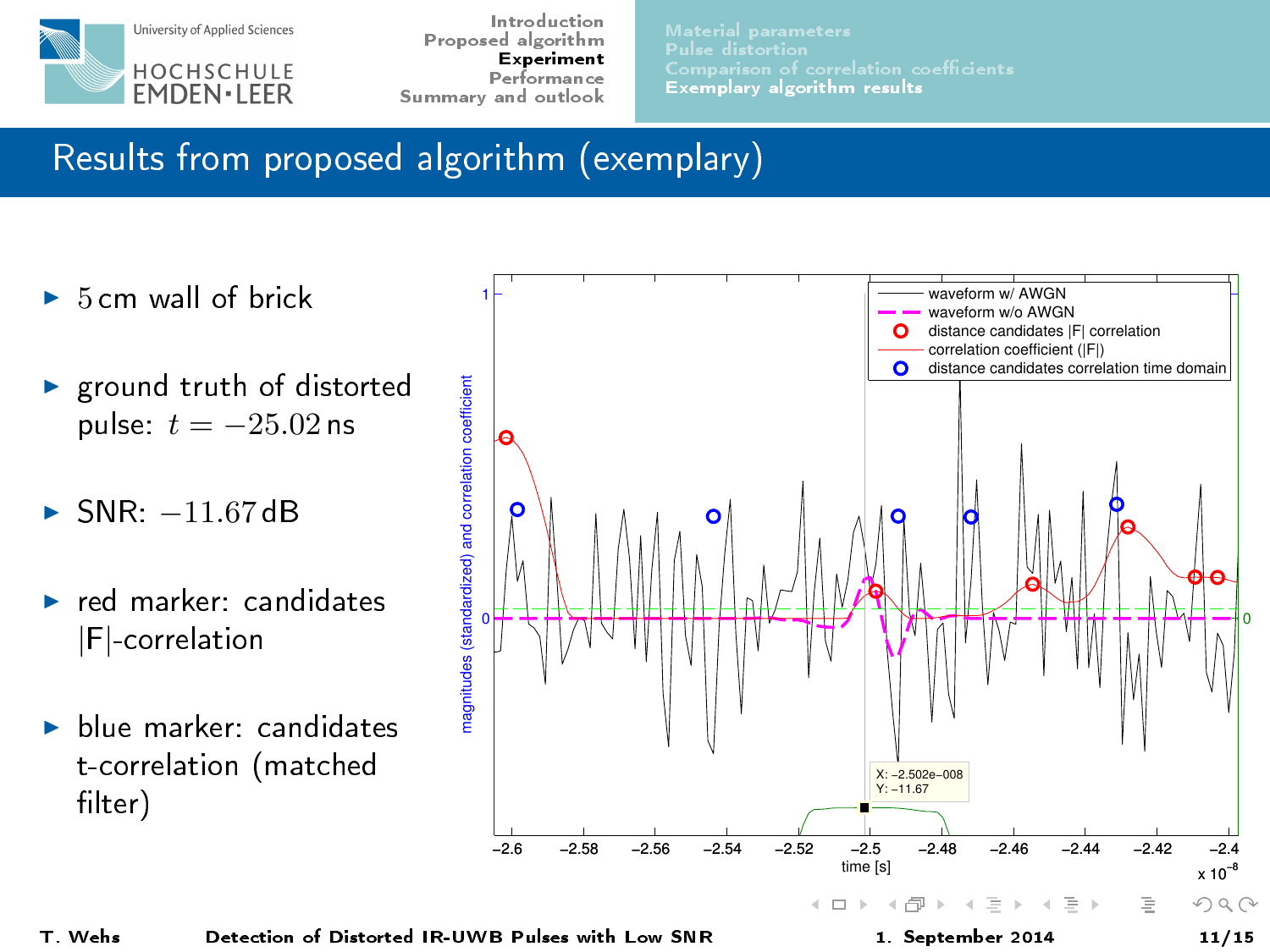

[Exemplary algorithm results](#page-10-0)

# Results from proposed algorithm (exemplary)

- $\triangleright$  5 cm wall of brick
- $\blacktriangleright$  ground truth of distorted pulse:  $t = -25.02$  ns
- $\blacktriangleright$  SNR:  $-11.67$  dB
- $\blacktriangleright$  red marker: candidates |F|-correlation
- $\blacktriangleright$  blue marker: candidates t-correlation (matched filter)

<span id="page-10-0"></span>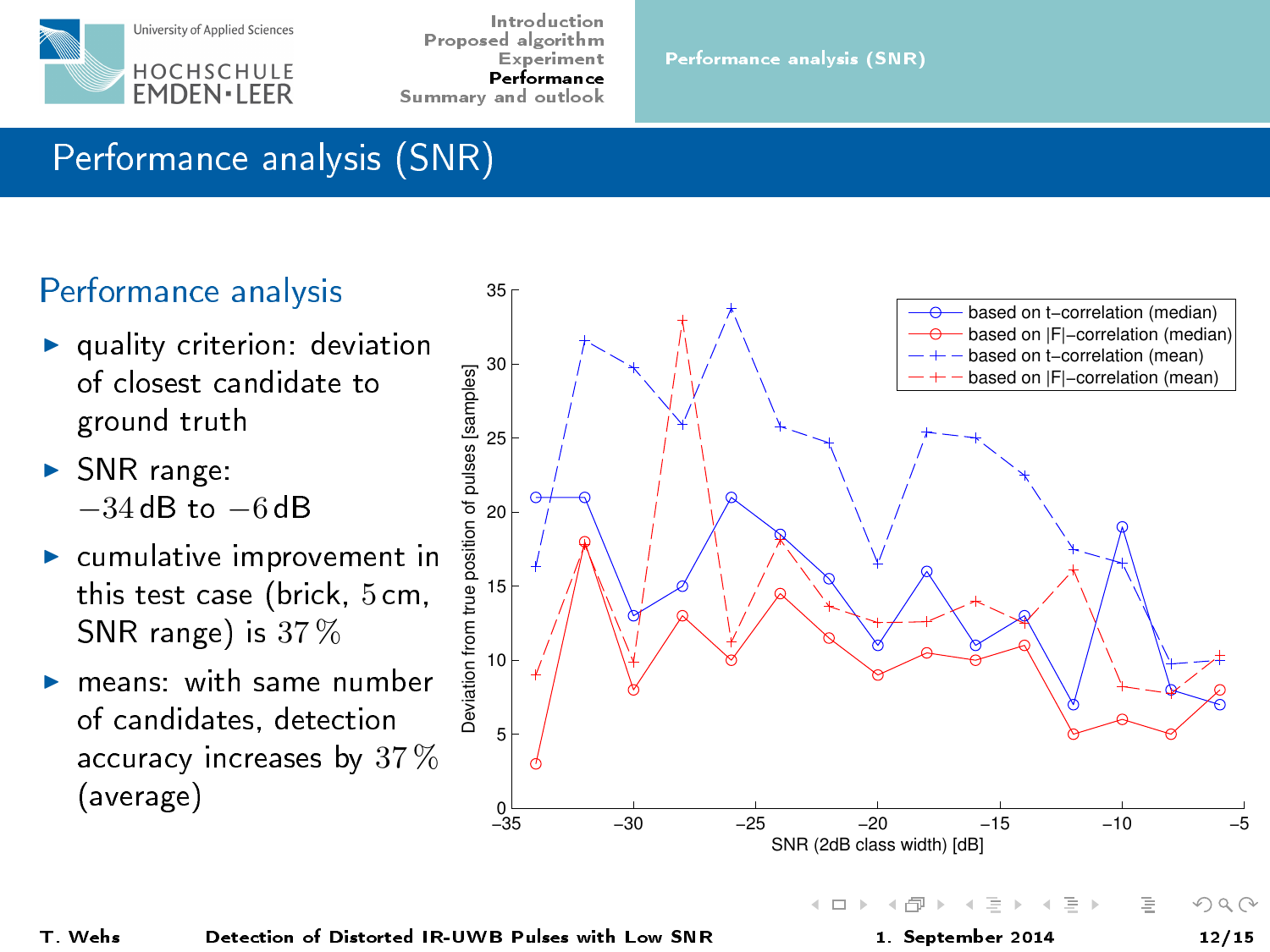

# Performance analysis (SNR)

### Performance analysis

- $\blacktriangleright$  quality criterion: deviation of closest candidate to ground truth
- $\triangleright$  SNR range:  $-34$  dB to  $-6$  dB
- $\blacktriangleright$  cumulative improvement in this test case (brick, 5 cm, SNR range) is 37 %
- $\blacktriangleright$  means: with same number of candidates, detection accuracy increases by 37 % (average)



<span id="page-11-0"></span>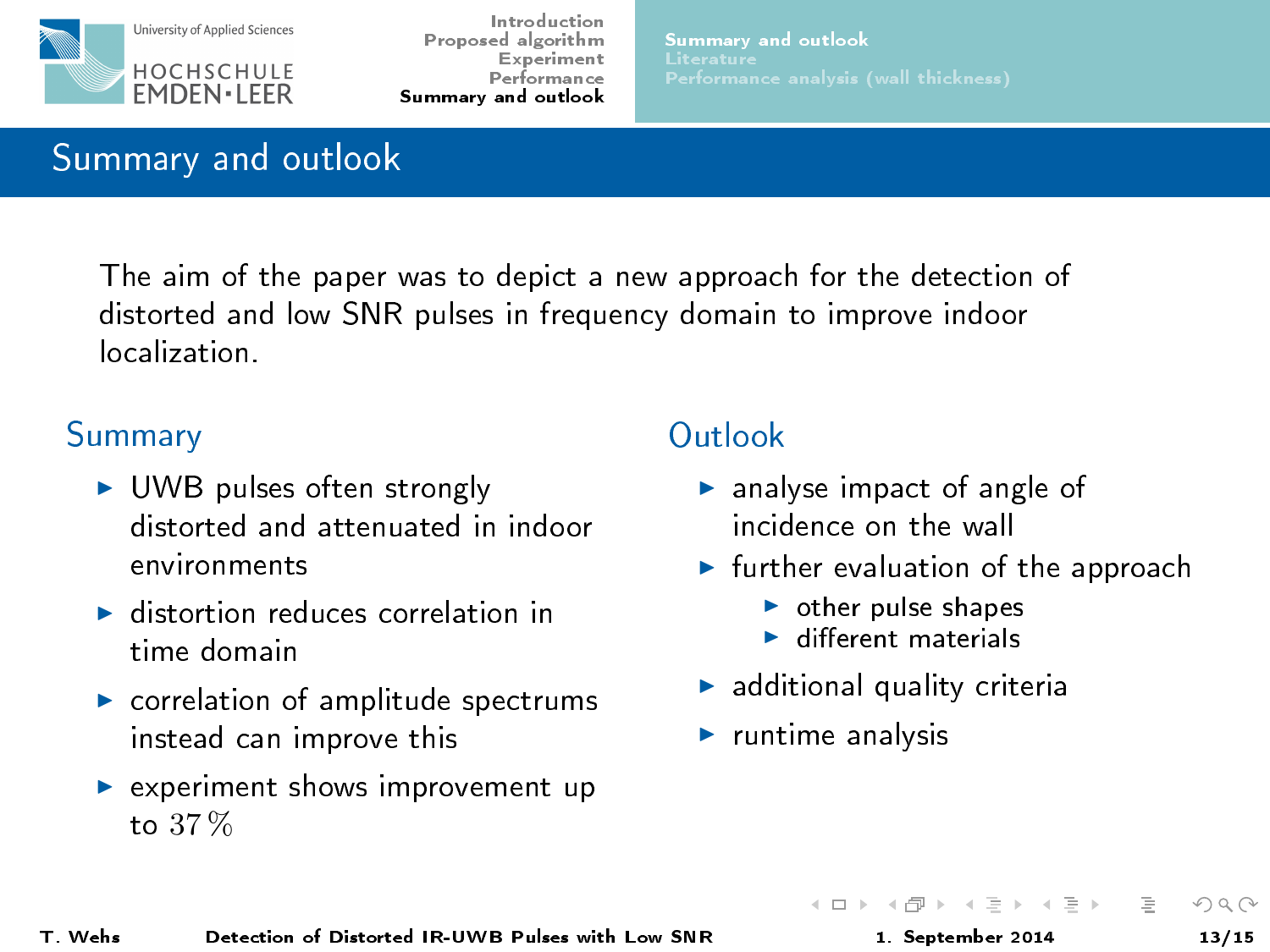

[Summary and outlook](#page-12-0)

# Summary and outlook

The aim of the paper was to depict a new approach for the detection of distorted and low SNR pulses in frequency domain to improve indoor localization.

#### Summary

- $\triangleright$  UWB pulses often strongly distorted and attenuated in indoor environments
- $\blacktriangleright$  distortion reduces correlation in time domain
- $\blacktriangleright$  correlation of amplitude spectrums instead can improve this
- $\blacktriangleright$  experiment shows improvement up to 37 %

# **Outlook**

- $\blacktriangleright$  analyse impact of angle of incidence on the wall
- $\blacktriangleright$  further evaluation of the approach
	- $\triangleright$  other pulse shapes
	- $\blacktriangleright$  different materials
- $\blacktriangleright$  additional quality criteria
- $\blacktriangleright$  runtime analysis

<span id="page-12-0"></span> $\rightarrow \equiv +$ 

イロト イ母ト イヨト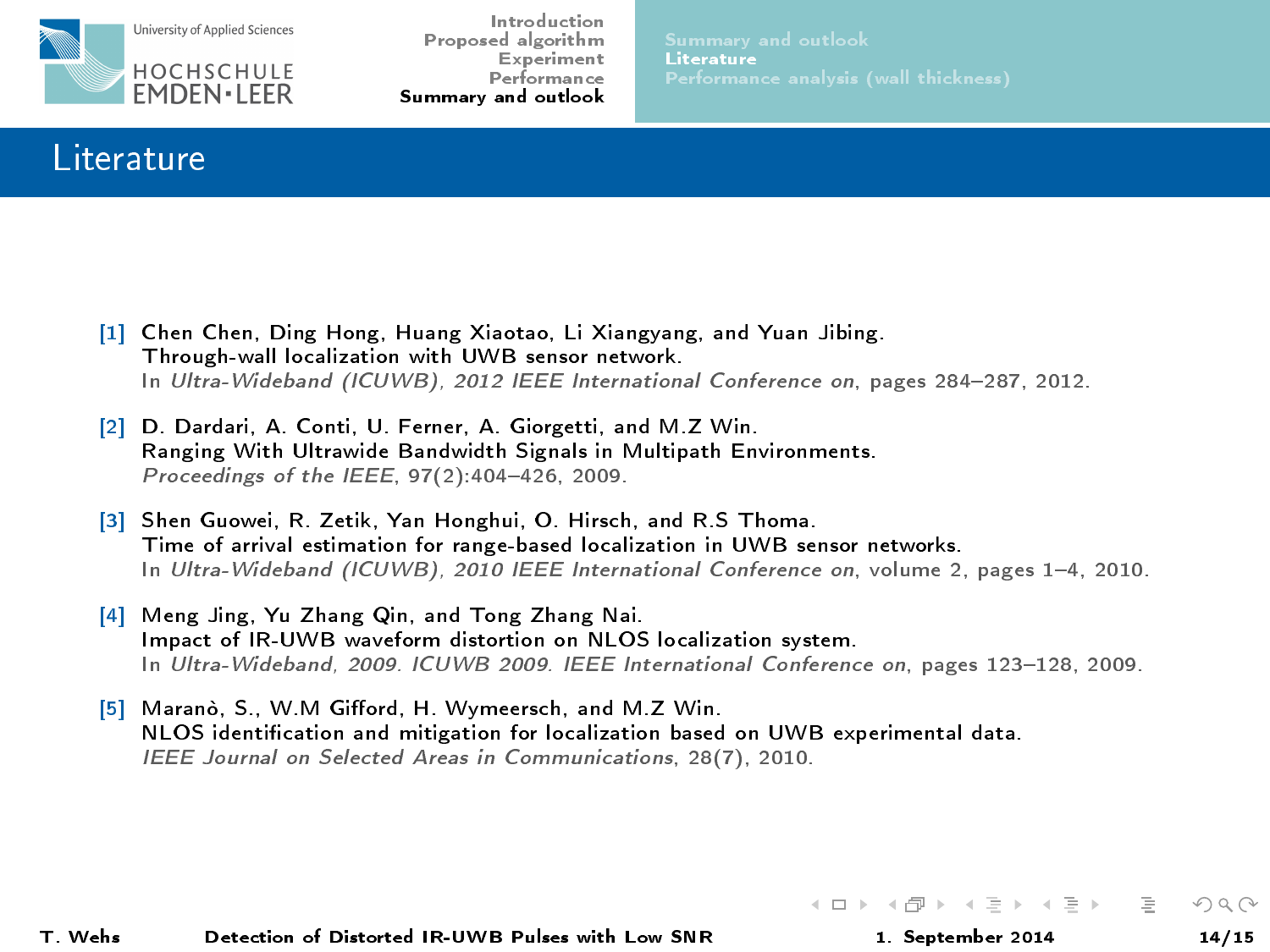

#### Literature

- <span id="page-13-3"></span>[1] Chen Chen, Ding Hong, Huang Xiaotao, Li Xiangyang, and Yuan Jibing. Through-wall localization with UWB sensor network. In Ultra-Wideband (ICUWB), 2012 IEEE International Conference on, pages 284-287, 2012.
- <span id="page-13-2"></span>[2] D. Dardari, A. Conti, U. Ferner, A. Giorgetti, and M.Z Win. Ranging With Ultrawide Bandwidth Signals in Multipath Environments. Proceedings of the IEEE,  $97(2)$ :  $404 - 426$ , 2009.
- <span id="page-13-4"></span>[3] Shen Guowei, R. Zetik, Yan Honghui, O. Hirsch, and R.S Thoma. Time of arrival estimation for range-based localization in UWB sensor networks. In Ultra-Wideband (ICUWB), 2010 IEEE International Conference on, volume 2, pages 1-4, 2010.
- <span id="page-13-1"></span>[4] Meng Jing, Yu Zhang Qin, and Tong Zhang Nai. Impact of IR-UWB waveform distortion on NLOS localization system. In Ultra-Wideband, 2009. ICUWB 2009. IEEE International Conference on, pages 123-128, 2009.
- <span id="page-13-0"></span>[5] Maranò, S., W.M Gifford, H. Wymeersch, and M.Z Win. NLOS identication and mitigation for localization based on UWB experimental data. IEEE Journal on Selected Areas in Communications, 28(7), 2010.

T. Wehs Detection of Distort[ed IR-UWB Pulses with Low SNR](#page-0-0) 1. September 2014 14/15

イロト イ母 トイヨ トイヨト

<span id="page-13-5"></span> $\Omega$